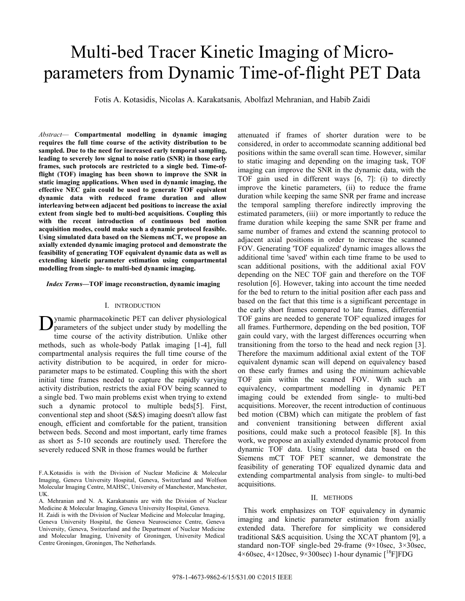# Multi-bed Tracer Kinetic Imaging of Microparameters from Dynamic Time-of-flight PET Data

Fotis A. Kotasidis, Nicolas A. Karakatsanis*,* Abolfazl Mehranian, and Habib Zaidi

*Abstract*— **Compartmental modelling in dynamic imaging requires the full time course of the activity distribution to be sampled. Due to the need for increased early temporal sampling, leading to severely low signal to noise ratio (SNR) in those early frames, such protocols are restricted to a single bed. Time-offlight (TOF) imaging has been shown to improve the SNR in static imaging applications. When used in dynamic imaging, the effective NEC gain could be used to generate TOF equivalent dynamic data with reduced frame duration and allow interleaving between adjacent bed positions to increase the axial extent from single bed to multi-bed acquisitions. Coupling this with the recent introduction of continuous bed motion acquisition modes, could make such a dynamic protocol feasible. Using simulated data based on the Siemens mCT, we propose an axially extended dynamic imaging protocol and demonstrate the feasibility of generating TOF equivalent dynamic data as well as extending kinetic parameter estimation using compartmental modelling from single- to multi-bed dynamic imaging.**

*Index Terms***—TOF image reconstruction, dynamic imaging** 

### I. INTRODUCTION

ynamic pharmacokinetic PET can deliver physiological parameters of the subject under study by modelling the time course of the activity distribution. Unlike other methods, such as whole-body Patlak imaging [1-4], full compartmental analysis requires the full time course of the activity distribution to be acquired, in order for microparameter maps to be estimated. Coupling this with the short initial time frames needed to capture the rapidly varying activity distribution, restricts the axial FOV being scanned to a single bed. Two main problems exist when trying to extend such a dynamic protocol to multiple beds[5]. First, conventional step and shoot (S&S) imaging doesn't allow fast enough, efficient and comfortable for the patient, transition between beds. Second and most important, early time frames as short as 5-10 seconds are routinely used. Therefore the severely reduced SNR in those frames would be further D

attenuated if frames of shorter duration were to be considered, in order to accommodate scanning additional bed positions within the same overall scan time. However, similar to static imaging and depending on the imaging task, TOF imaging can improve the SNR in the dynamic data, with the TOF gain used in different ways [6, 7]: (i) to directly improve the kinetic parameters, (ii) to reduce the frame duration while keeping the same SNR per frame and increase the temporal sampling therefore indirectly improving the estimated parameters, (iii) or more importantly to reduce the frame duration while keeping the same SNR per frame and same number of frames and extend the scanning protocol to adjacent axial positions in order to increase the scanned FOV. Generating 'TOF equalized' dynamic images allows the additional time 'saved' within each time frame to be used to scan additional positions, with the additional axial FOV depending on the NEC TOF gain and therefore on the TOF resolution [6]. However, taking into account the time needed for the bed to return to the initial position after each pass and based on the fact that this time is a significant percentage in the early short frames compared to late frames, differential TOF gains are needed to generate TOF' equalized images for all frames. Furthermore, depending on the bed position, TOF gain could vary, with the largest differences occurring when transitioning from the torso to the head and neck region [3]. Therefore the maximum additional axial extent of the TOF equivalent dynamic scan will depend on equivalency based on these early frames and using the minimum achievable TOF gain within the scanned FOV. With such an equivalency, compartment modelling in dynamic PET imaging could be extended from single- to multi-bed acquisitions. Moreover, the recent introduction of continuous bed motion (CBM) which can mitigate the problem of fast and convenient transitioning between different axial positions, could make such a protocol feasible [8]. In this work, we propose an axially extended dynamic protocol from dynamic TOF data. Using simulated data based on the Siemens mCT TOF PET scanner, we demonstrate the feasibility of generating TOF equalized dynamic data and extending compartmental analysis from single- to multi-bed acquisitions.

# II. METHODS

 This work emphasizes on TOF equivalency in dynamic imaging and kinetic parameter estimation from axially extended data. Therefore for simplicity we considered traditional S&S acquisition. Using the XCAT phantom [9], a standard non-TOF single-bed 29-frame (9×10sec, 3×30sec,  $4\times60$ sec,  $4\times120$ sec,  $9\times300$ sec) 1-hour dynamic  $\binom{18}{1}$ FDG

F.A.Kotasidis is with the Division of Nuclear Medicine & Molecular Imaging, Geneva University Hospital, Geneva, Switzerland and Wolfson Molecular Imaging Centre, MAHSC, University of Manchester, Manchester, UK.

A. Mehranian and N. A. Karakatsanis are with the Division of Nuclear Medicine & Molecular Imaging, Geneva University Hospital, Geneva.

H. Zaidi is with the Division of Nuclear Medicine and Molecular Imaging, Geneva University Hospital, the Geneva Neuroscience Centre, Geneva University, Geneva, Switzerland and the Department of Nuclear Medicine and Molecular Imaging, University of Groningen, University Medical Centre Groningen, Groningen, The Netherlands.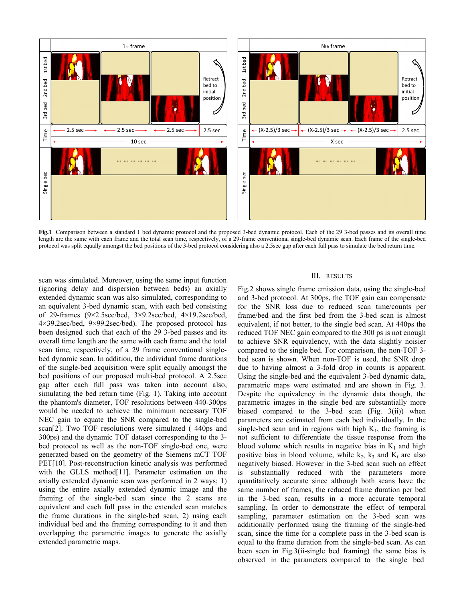

**Fig.1** Comparison between a standard 1 bed dynamic protocol and the proposed 3-bed dynamic protocol. Each of the 29 3-bed passes and its overall time length are the same with each frame and the total scan time, respectively, of a 29-frame conventional single-bed dynamic scan. Each frame of the single-bed protocol was split equally amongst the bed positions of the 3-bed protocol considering also a 2.5sec gap after each full pass to simulate the bed return time.

scan was simulated. Moreover, using the same input function (ignoring delay and dispersion between beds) an axially extended dynamic scan was also simulated, corresponding to an equivalent 3-bed dynamic scan, with each bed consisting of 29-frames (9×2.5sec/bed, 3×9.2sec/bed, 4×19.2sec/bed,  $4\times39.2$ sec/bed,  $9\times99.2$ sec/bed). The proposed protocol has been designed such that each of the 29 3-bed passes and its overall time length are the same with each frame and the total scan time, respectively, of a 29 frame conventional singlebed dynamic scan. In addition, the individual frame durations of the single-bed acquisition were split equally amongst the bed positions of our proposed multi-bed protocol. A 2.5sec gap after each full pass was taken into account also, simulating the bed return time (Fig. 1). Taking into account the phantom's diameter, TOF resolutions between 440-300ps would be needed to achieve the minimum necessary TOF NEC gain to equate the SNR compared to the single-bed scan[2]. Two TOF resolutions were simulated ( 440ps and 300ps) and the dynamic TOF dataset corresponding to the 3 bed protocol as well as the non-TOF single-bed one, were generated based on the geometry of the Siemens mCT TOF PET[10]. Post-reconstruction kinetic analysis was performed with the GLLS method[11]. Parameter estimation on the axially extended dynamic scan was performed in 2 ways; 1) using the entire axially extended dynamic image and the framing of the single-bed scan since the 2 scans are equivalent and each full pass in the extended scan matches the frame durations in the single-bed scan, 2) using each individual bed and the framing corresponding to it and then overlapping the parametric images to generate the axially extended parametric maps.

# III. RESULTS

Fig.2 shows single frame emission data, using the single-bed and 3-bed protocol. At 300ps, the TOF gain can compensate for the SNR loss due to reduced scan time/counts per frame/bed and the first bed from the 3-bed scan is almost equivalent, if not better, to the single bed scan. At 440ps the reduced TOF NEC gain compared to the 300 ps is not enough to achieve SNR equivalency, with the data slightly noisier compared to the single bed. For comparison, the non-TOF 3 bed scan is shown. When non-TOF is used, the SNR drop due to having almost a 3-fold drop in counts is apparent. Using the single-bed and the equivalent 3-bed dynamic data, parametric maps were estimated and are shown in Fig. 3. Despite the equivalency in the dynamic data though, the parametric images in the single bed are substantially more biased compared to the 3-bed scan (Fig. 3(ii)) when parameters are estimated from each bed individually. In the single-bed scan and in regions with high  $K_1$ , the framing is not sufficient to differentiate the tissue response from the blood volume which results in negative bias in  $K_1$  and high positive bias in blood volume, while  $k_2$ ,  $k_3$  and  $K_i$  are also negatively biased. However in the 3-bed scan such an effect substantially reduced with the parameters more quantitatively accurate since although both scans have the same number of frames, the reduced frame duration per bed in the 3-bed scan, results in a more accurate temporal sampling. In order to demonstrate the effect of temporal sampling, parameter estimation on the 3-bed scan was additionally performed using the framing of the single-bed scan, since the time for a complete pass in the 3-bed scan is equal to the frame duration from the single-bed scan. As can been seen in Fig.3(ii-single bed framing) the same bias is observed in the parameters compared to the single bed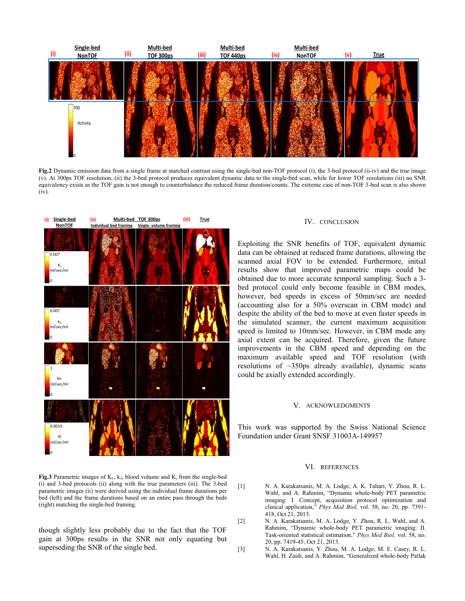

**Fig.2** Dynamic emission data from a single frame at matched contrast using the single-bed non-TOF protocol (i), the 3-bed protocol (ii-iv) and the true image (v). At 300ps TOF resolution, (ii) the 3-bed protocol produces equivalent dynamic data to the single-bed scan, while for lower TOF resolutions (iii) no SNR equivalency exists as the TOF gain is not enough to counterbalance the reduced frame duration/counts. The extreme case of non-TOF 3-bed scan is also shown (iv).



#### IV. CONCLUSION

Exploiting the SNR benefits of TOF, equivalent dynamic data can be obtained at reduced frame durations, allowing the scanned axial FOV to be extended. Furthermore, initial results show that improved parametric maps could be obtained due to more accurate temporal sampling. Such a 3 bed protocol could only become feasible in CBM modes, however, bed speeds in excess of 50mm/sec are needed (accounting also for a 50% overscan in CBM mode) and despite the ability of the bed to move at even faster speeds in the simulated scanner, the current maximum acquisition speed is limited to 10mm/sec. However, in CBM mode any axial extent can be acquired. Therefore, given the future improvements in the CBM speed and depending on the maximum available speed and TOF resolution (with resolutions of  $\sim$ 350ps already available), dynamic scans could be axially extended accordingly.

#### V. ACKNOWLEDGMENTS

This work was supported by the Swiss National Science Foundation under Grant SNSF 31003A-149957

#### VI. REFERENCES

- [1] N. A. Karakatsanis, M. A. Lodge, A. K. Tahari, Y. Zhou, R. L. Wahl, and A. Rahmim, "Dynamic whole-body PET parametric imaging: I. Concept, acquisition protocol optimization and clinical application," *Phys Med Biol,* vol. 58, no. 20, pp. 7391- 418, Oct 21, 2013.
	- [2] N. A. Karakatsanis, M. A. Lodge, Y. Zhou, R. L. Wahl, and A. Rahmim, "Dynamic whole-body PET parametric imaging: II. Task-oriented statistical estimation," *Phys Med Biol,* vol. 58, no. 20, pp. 7419-45, Oct 21, 2013.
	- [3] N. A. Karakatsanis, Y. Zhou, M. A. Lodge, M. E. Casey, R. L. Wahl, H. Zaidi, and A. Rahmim, "Generalized whole-body Patlak

(i) and 3-bed protocols (ii) along with the true parameters (iii). The 3-bed parametric images (ii) were derived using the individual frame durations per bed (left) and the frame durations based on an entire pass through the beds (right) matching the single-bed framing.

**Fig.3** Parametric images of  $K_1$ ,  $k_3$ , blood volume and  $K_i$  from the single-bed

though slightly less probably due to the fact that the TOF gain at 300ps results in the SNR not only equating but superseding the SNR of the single bed.